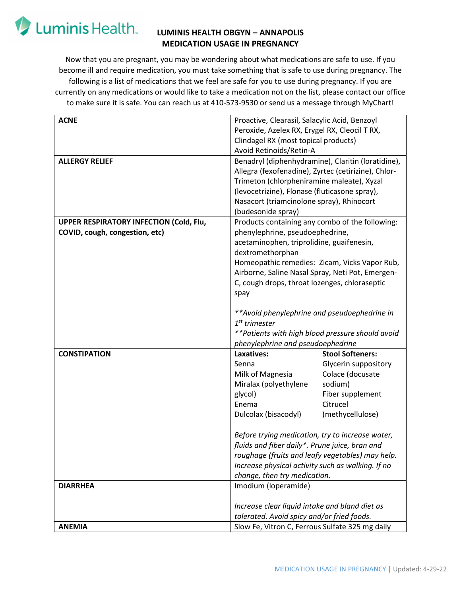## Luminis Health.

### **LUMINIS HEALTH OBGYN – ANNAPOLIS MEDICATION USAGE IN PREGNANCY**

Now that you are pregnant, you may be wondering about what medications are safe to use. If you become ill and require medication, you must take something that is safe to use during pregnancy. The following is a list of medications that we feel are safe for you to use during pregnancy. If you are currently on any medications or would like to take a medication not on the list, please contact our office to make sure it is safe. You can reach us at 410-573-9530 or send us a message through MyChart!

| <b>ACNE</b>                                    | Proactive, Clearasil, Salacylic Acid, Benzoyl                                                 |                                                    |
|------------------------------------------------|-----------------------------------------------------------------------------------------------|----------------------------------------------------|
|                                                | Peroxide, Azelex RX, Erygel RX, Cleocil T RX,                                                 |                                                    |
|                                                | Clindagel RX (most topical products)                                                          |                                                    |
|                                                | Avoid Retinoids/Retin-A                                                                       |                                                    |
| <b>ALLERGY RELIEF</b>                          |                                                                                               | Benadryl (diphenhydramine), Claritin (loratidine), |
|                                                | Allegra (fexofenadine), Zyrtec (cetirizine), Chlor-                                           |                                                    |
|                                                | Trimeton (chlorpheniramine maleate), Xyzal                                                    |                                                    |
|                                                | (levocetrizine), Flonase (fluticasone spray),                                                 |                                                    |
|                                                | Nasacort (triamcinolone spray), Rhinocort                                                     |                                                    |
|                                                | (budesonide spray)                                                                            |                                                    |
| <b>UPPER RESPIRATORY INFECTION (Cold, Flu,</b> | Products containing any combo of the following:                                               |                                                    |
| COVID, cough, congestion, etc)                 | phenylephrine, pseudoephedrine,                                                               |                                                    |
|                                                | acetaminophen, triprolidine, guaifenesin,                                                     |                                                    |
|                                                | dextromethorphan                                                                              |                                                    |
|                                                |                                                                                               | Homeopathic remedies: Zicam, Vicks Vapor Rub,      |
|                                                | Airborne, Saline Nasal Spray, Neti Pot, Emergen-                                              |                                                    |
|                                                | C, cough drops, throat lozenges, chloraseptic                                                 |                                                    |
|                                                | spay                                                                                          |                                                    |
|                                                |                                                                                               |                                                    |
|                                                | ** Avoid phenylephrine and pseudoephedrine in<br>$1st$ trimester                              |                                                    |
|                                                |                                                                                               | **Patients with high blood pressure should avoid   |
|                                                | phenylephrine and pseudoephedrine                                                             |                                                    |
| <b>CONSTIPATION</b>                            | Laxatives:                                                                                    | <b>Stool Softeners:</b>                            |
|                                                | Senna                                                                                         | Glycerin suppository                               |
|                                                | Milk of Magnesia                                                                              | Colace (docusate                                   |
|                                                | Miralax (polyethylene                                                                         | sodium)                                            |
|                                                | glycol)                                                                                       | Fiber supplement                                   |
|                                                | Enema                                                                                         | Citrucel                                           |
|                                                | Dulcolax (bisacodyl)                                                                          | (methycellulose)                                   |
|                                                |                                                                                               |                                                    |
|                                                | Before trying medication, try to increase water,                                              |                                                    |
|                                                | fluids and fiber daily*. Prune juice, bran and                                                |                                                    |
|                                                | roughage (fruits and leafy vegetables) may help.                                              |                                                    |
|                                                | Increase physical activity such as walking. If no                                             |                                                    |
|                                                | change, then try medication.                                                                  |                                                    |
| <b>DIARRHEA</b>                                | Imodium (loperamide)                                                                          |                                                    |
|                                                |                                                                                               |                                                    |
|                                                |                                                                                               |                                                    |
|                                                | Increase clear liquid intake and bland diet as                                                |                                                    |
| <b>ANEMIA</b>                                  | tolerated. Avoid spicy and/or fried foods.<br>Slow Fe, Vitron C, Ferrous Sulfate 325 mg daily |                                                    |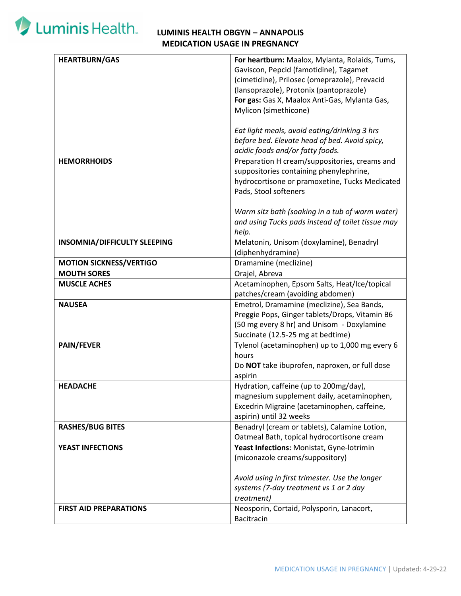# Luminis Health.

### **LUMINIS HEALTH OBGYN – ANNAPOLIS MEDICATION USAGE IN PREGNANCY**

| <b>HEARTBURN/GAS</b>           | For heartburn: Maalox, Mylanta, Rolaids, Tums,    |
|--------------------------------|---------------------------------------------------|
|                                | Gaviscon, Pepcid (famotidine), Tagamet            |
|                                | (cimetidine), Prilosec (omeprazole), Prevacid     |
|                                | (lansoprazole), Protonix (pantoprazole)           |
|                                | For gas: Gas X, Maalox Anti-Gas, Mylanta Gas,     |
|                                |                                                   |
|                                | Mylicon (simethicone)                             |
|                                |                                                   |
|                                | Eat light meals, avoid eating/drinking 3 hrs      |
|                                | before bed. Elevate head of bed. Avoid spicy,     |
|                                | acidic foods and/or fatty foods.                  |
| <b>HEMORRHOIDS</b>             | Preparation H cream/suppositories, creams and     |
|                                | suppositories containing phenylephrine,           |
|                                | hydrocortisone or pramoxetine, Tucks Medicated    |
|                                | Pads, Stool softeners                             |
|                                |                                                   |
|                                | Warm sitz bath (soaking in a tub of warm water)   |
|                                | and using Tucks pads instead of toilet tissue may |
|                                |                                                   |
|                                | help.                                             |
| INSOMNIA/DIFFICULTY SLEEPING   | Melatonin, Unisom (doxylamine), Benadryl          |
|                                | (diphenhydramine)                                 |
| <b>MOTION SICKNESS/VERTIGO</b> | Dramamine (meclizine)                             |
| <b>MOUTH SORES</b>             | Orajel, Abreva                                    |
| <b>MUSCLE ACHES</b>            | Acetaminophen, Epsom Salts, Heat/Ice/topical      |
|                                | patches/cream (avoiding abdomen)                  |
| <b>NAUSEA</b>                  | Emetrol, Dramamine (meclizine), Sea Bands,        |
|                                | Preggie Pops, Ginger tablets/Drops, Vitamin B6    |
|                                | (50 mg every 8 hr) and Unisom - Doxylamine        |
|                                | Succinate (12.5-25 mg at bedtime)                 |
| <b>PAIN/FEVER</b>              | Tylenol (acetaminophen) up to 1,000 mg every 6    |
|                                | hours                                             |
|                                | Do NOT take ibuprofen, naproxen, or full dose     |
|                                | aspirin                                           |
|                                | Hydration, caffeine (up to 200mg/day),            |
| <b>HEADACHE</b>                |                                                   |
|                                | magnesium supplement daily, acetaminophen,        |
|                                | Excedrin Migraine (acetaminophen, caffeine,       |
|                                | aspirin) until 32 weeks                           |
| <b>RASHES/BUG BITES</b>        | Benadryl (cream or tablets), Calamine Lotion,     |
|                                | Oatmeal Bath, topical hydrocortisone cream        |
| <b>YEAST INFECTIONS</b>        | Yeast Infections: Monistat, Gyne-lotrimin         |
|                                | (miconazole creams/suppository)                   |
|                                |                                                   |
|                                | Avoid using in first trimester. Use the longer    |
|                                | systems (7-day treatment vs 1 or 2 day            |
|                                | treatment)                                        |
|                                |                                                   |
| <b>FIRST AID PREPARATIONS</b>  | Neosporin, Cortaid, Polysporin, Lanacort,         |
|                                | Bacitracin                                        |